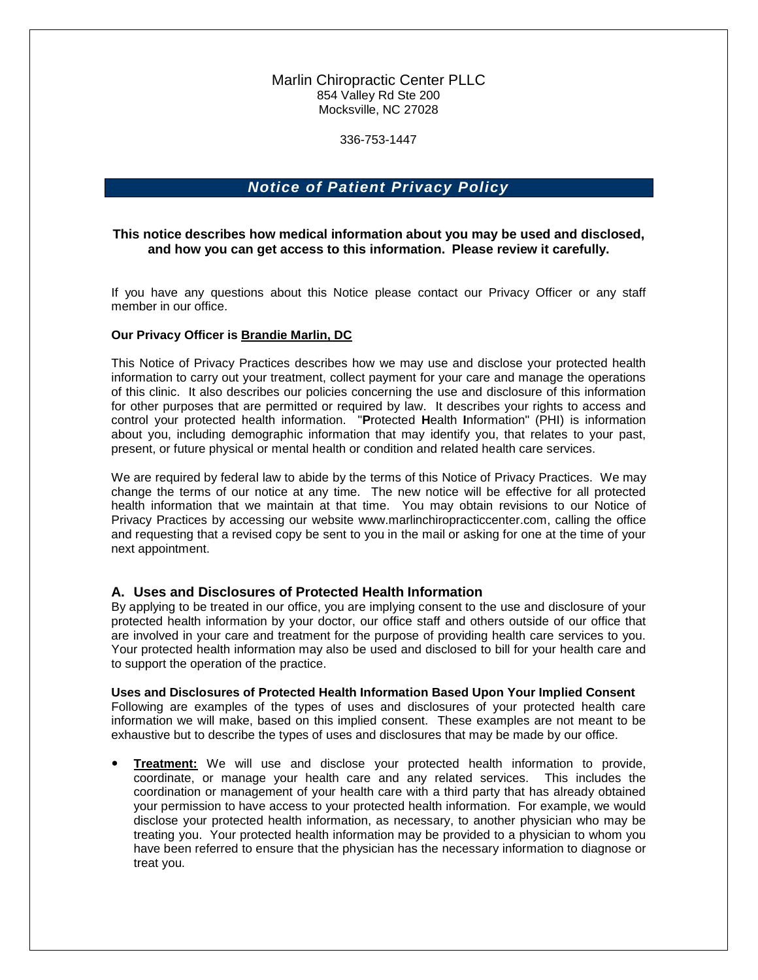# Marlin Chiropractic Center PLLC 854 Valley Rd Ste 200 Mocksville, NC 27028

#### 336-753-1447

# *Notice of Patient Privacy Policy*

# **This notice describes how medical information about you may be used and disclosed, and how you can get access to this information. Please review it carefully.**

If you have any questions about this Notice please contact our Privacy Officer or any staff member in our office.

#### **Our Privacy Officer is Brandie Marlin, DC**

This Notice of Privacy Practices describes how we may use and disclose your protected health information to carry out your treatment, collect payment for your care and manage the operations of this clinic. It also describes our policies concerning the use and disclosure of this information for other purposes that are permitted or required by law. It describes your rights to access and control your protected health information. "**P**rotected **H**ealth **I**nformation" (PHI) is information about you, including demographic information that may identify you, that relates to your past, present, or future physical or mental health or condition and related health care services.

We are required by federal law to abide by the terms of this Notice of Privacy Practices. We may change the terms of our notice at any time. The new notice will be effective for all protected health information that we maintain at that time. You may obtain revisions to our Notice of Privacy Practices by accessing our website www.marlinchiropracticcenter.com, calling the office and requesting that a revised copy be sent to you in the mail or asking for one at the time of your next appointment.

#### **A. Uses and Disclosures of Protected Health Information**

By applying to be treated in our office, you are implying consent to the use and disclosure of your protected health information by your doctor, our office staff and others outside of our office that are involved in your care and treatment for the purpose of providing health care services to you. Your protected health information may also be used and disclosed to bill for your health care and to support the operation of the practice.

#### **Uses and Disclosures of Protected Health Information Based Upon Your Implied Consent**

Following are examples of the types of uses and disclosures of your protected health care information we will make, based on this implied consent. These examples are not meant to be exhaustive but to describe the types of uses and disclosures that may be made by our office.

**Treatment:** We will use and disclose your protected health information to provide, coordinate, or manage your health care and any related services. This includes the coordination or management of your health care with a third party that has already obtained your permission to have access to your protected health information. For example, we would disclose your protected health information, as necessary, to another physician who may be treating you. Your protected health information may be provided to a physician to whom you have been referred to ensure that the physician has the necessary information to diagnose or treat you.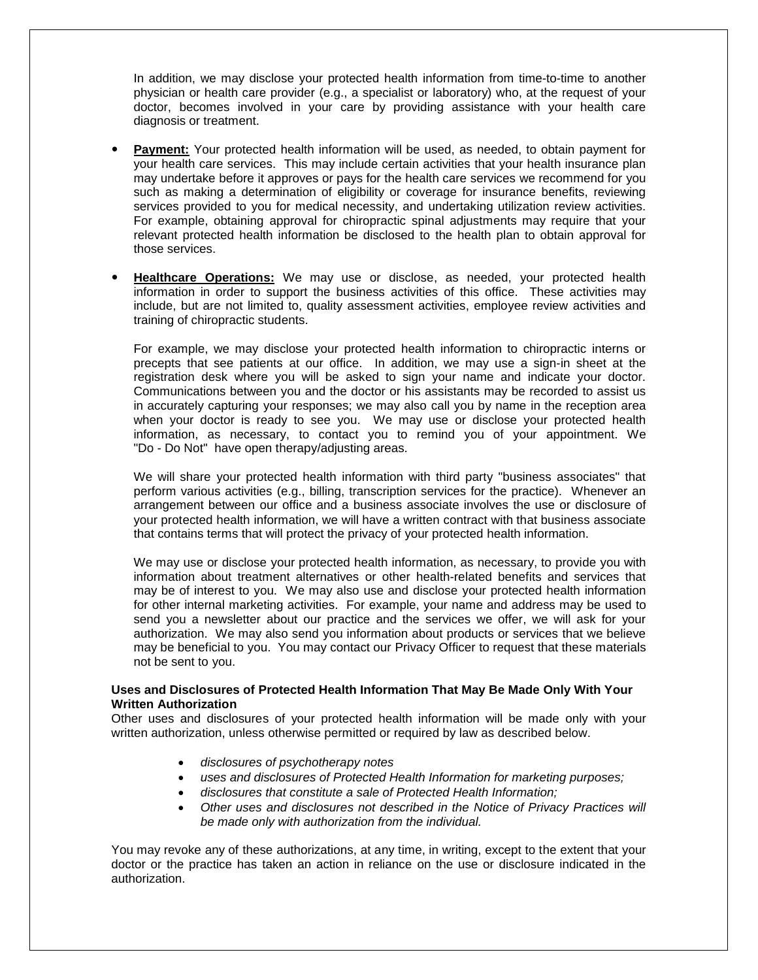In addition, we may disclose your protected health information from time-to-time to another physician or health care provider (e.g., a specialist or laboratory) who, at the request of your doctor, becomes involved in your care by providing assistance with your health care diagnosis or treatment.

- **Payment:** Your protected health information will be used, as needed, to obtain payment for your health care services. This may include certain activities that your health insurance plan may undertake before it approves or pays for the health care services we recommend for you such as making a determination of eligibility or coverage for insurance benefits, reviewing services provided to you for medical necessity, and undertaking utilization review activities. For example, obtaining approval for chiropractic spinal adjustments may require that your relevant protected health information be disclosed to the health plan to obtain approval for those services.
- **Healthcare Operations:** We may use or disclose, as needed, your protected health information in order to support the business activities of this office. These activities may include, but are not limited to, quality assessment activities, employee review activities and training of chiropractic students.

For example, we may disclose your protected health information to chiropractic interns or precepts that see patients at our office. In addition, we may use a sign-in sheet at the registration desk where you will be asked to sign your name and indicate your doctor. Communications between you and the doctor or his assistants may be recorded to assist us in accurately capturing your responses; we may also call you by name in the reception area when your doctor is ready to see you. We may use or disclose your protected health information, as necessary, to contact you to remind you of your appointment. We "Do - Do Not" have open therapy/adjusting areas.

We will share your protected health information with third party "business associates" that perform various activities (e.g., billing, transcription services for the practice). Whenever an arrangement between our office and a business associate involves the use or disclosure of your protected health information, we will have a written contract with that business associate that contains terms that will protect the privacy of your protected health information.

We may use or disclose your protected health information, as necessary, to provide you with information about treatment alternatives or other health-related benefits and services that may be of interest to you. We may also use and disclose your protected health information for other internal marketing activities. For example, your name and address may be used to send you a newsletter about our practice and the services we offer, we will ask for your authorization. We may also send you information about products or services that we believe may be beneficial to you. You may contact our Privacy Officer to request that these materials not be sent to you.

# **Uses and Disclosures of Protected Health Information That May Be Made Only With Your Written Authorization**

Other uses and disclosures of your protected health information will be made only with your written authorization, unless otherwise permitted or required by law as described below.

- ∑ *disclosures of psychotherapy notes*
- ∑ *uses and disclosures of Protected Health Information for marketing purposes;*
- ∑ *disclosures that constitute a sale of Protected Health Information;*
- ∑ *Other uses and disclosures not described in the Notice of Privacy Practices will be made only with authorization from the individual.*

You may revoke any of these authorizations, at any time, in writing, except to the extent that your doctor or the practice has taken an action in reliance on the use or disclosure indicated in the authorization.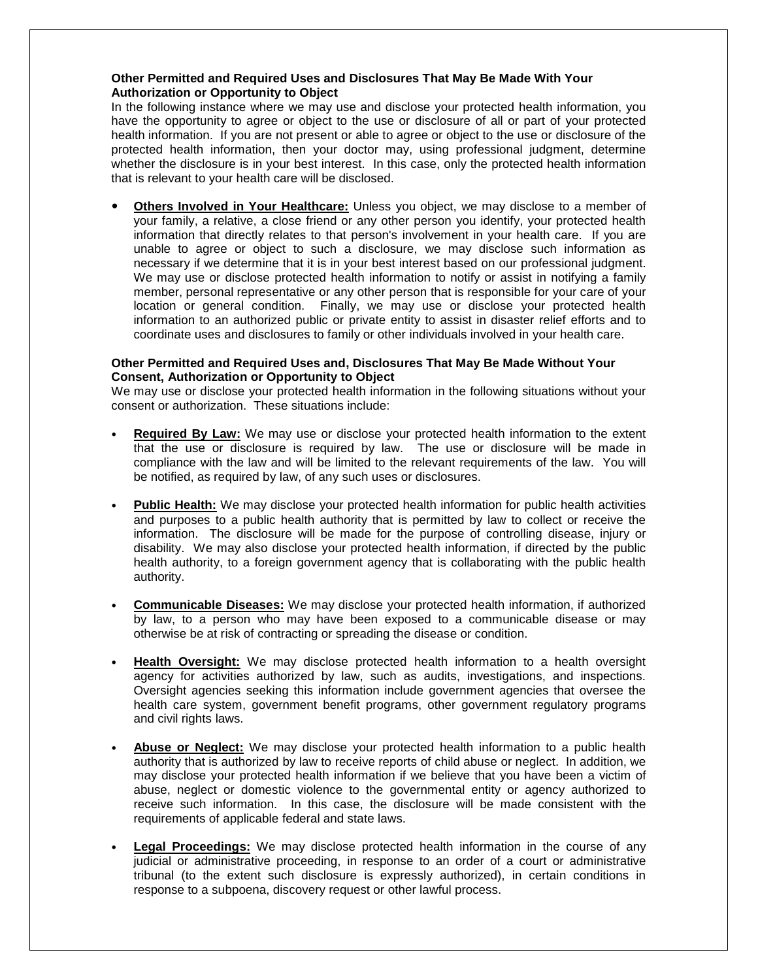#### **Other Permitted and Required Uses and Disclosures That May Be Made With Your Authorization or Opportunity to Object**

In the following instance where we may use and disclose your protected health information, you have the opportunity to agree or object to the use or disclosure of all or part of your protected health information. If you are not present or able to agree or object to the use or disclosure of the protected health information, then your doctor may, using professional judgment, determine whether the disclosure is in your best interest. In this case, only the protected health information that is relevant to your health care will be disclosed.

ó **Others Involved in Your Healthcare:** Unless you object, we may disclose to a member of your family, a relative, a close friend or any other person you identify, your protected health information that directly relates to that person's involvement in your health care. If you are unable to agree or object to such a disclosure, we may disclose such information as necessary if we determine that it is in your best interest based on our professional judgment. We may use or disclose protected health information to notify or assist in notifying a family member, personal representative or any other person that is responsible for your care of your location or general condition. Finally, we may use or disclose your protected health information to an authorized public or private entity to assist in disaster relief efforts and to coordinate uses and disclosures to family or other individuals involved in your health care.

### **Other Permitted and Required Uses and, Disclosures That May Be Made Without Your Consent, Authorization or Opportunity to Object**

We may use or disclose your protected health information in the following situations without your consent or authorization. These situations include:

- **Required By Law:** We may use or disclose your protected health information to the extent that the use or disclosure is required by law. The use or disclosure will be made in compliance with the law and will be limited to the relevant requirements of the law. You will be notified, as required by law, of any such uses or disclosures.
- Public Health: We may disclose your protected health information for public health activities and purposes to a public health authority that is permitted by law to collect or receive the information. The disclosure will be made for the purpose of controlling disease, injury or disability. We may also disclose your protected health information, if directed by the public health authority, to a foreign government agency that is collaborating with the public health authority.
- **Communicable Diseases:** We may disclose your protected health information, if authorized by law, to a person who may have been exposed to a communicable disease or may otherwise be at risk of contracting or spreading the disease or condition.
- **Health Oversight:** We may disclose protected health information to a health oversight agency for activities authorized by law, such as audits, investigations, and inspections. Oversight agencies seeking this information include government agencies that oversee the health care system, government benefit programs, other government regulatory programs and civil rights laws.
- Abuse or Neglect: We may disclose your protected health information to a public health authority that is authorized by law to receive reports of child abuse or neglect. In addition, we may disclose your protected health information if we believe that you have been a victim of abuse, neglect or domestic violence to the governmental entity or agency authorized to receive such information. In this case, the disclosure will be made consistent with the requirements of applicable federal and state laws.
- **Legal Proceedings:** We may disclose protected health information in the course of any judicial or administrative proceeding, in response to an order of a court or administrative tribunal (to the extent such disclosure is expressly authorized), in certain conditions in response to a subpoena, discovery request or other lawful process.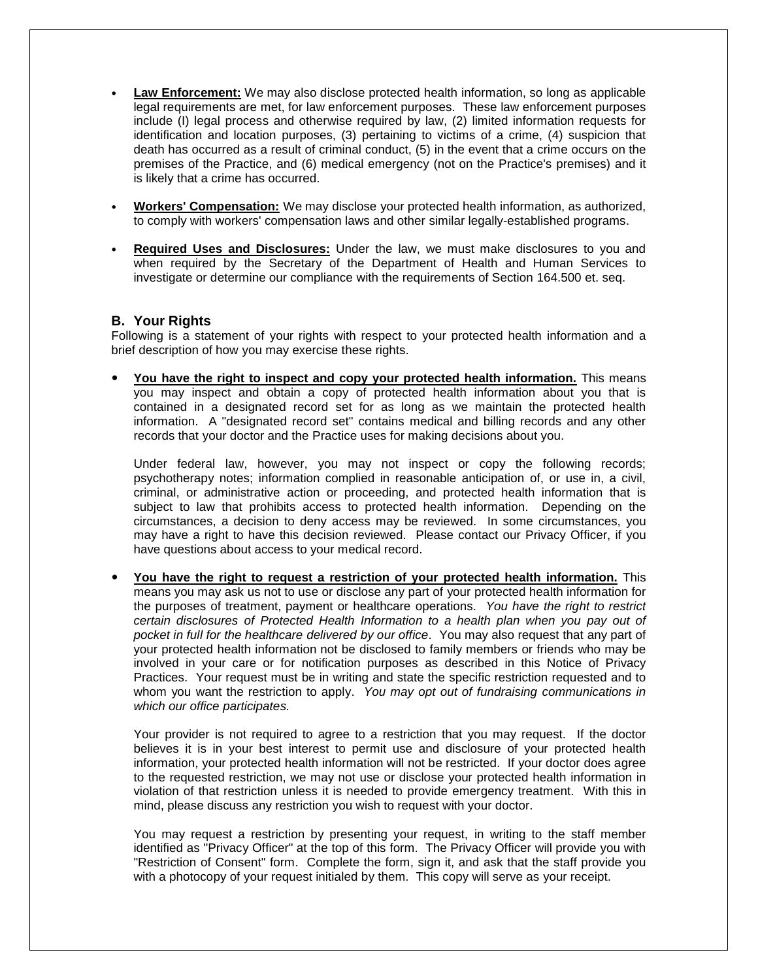- **Law Enforcement:** We may also disclose protected health information, so long as applicable legal requirements are met, for law enforcement purposes. These law enforcement purposes include (I) legal process and otherwise required by law, (2) limited information requests for identification and location purposes, (3) pertaining to victims of a crime, (4) suspicion that death has occurred as a result of criminal conduct, (5) in the event that a crime occurs on the premises of the Practice, and (6) medical emergency (not on the Practice's premises) and it is likely that a crime has occurred.
- **Workers' Compensation:** We may disclose your protected health information, as authorized, to comply with workers' compensation laws and other similar legally-established programs.
- **Required Uses and Disclosures:** Under the law, we must make disclosures to you and when required by the Secretary of the Department of Health and Human Services to investigate or determine our compliance with the requirements of Section 164.500 et. seq.

# **B. Your Rights**

Following is a statement of your rights with respect to your protected health information and a brief description of how you may exercise these rights.

You have the right to inspect and copy your protected health information. This means you may inspect and obtain a copy of protected health information about you that is contained in a designated record set for as long as we maintain the protected health information. A "designated record set" contains medical and billing records and any other records that your doctor and the Practice uses for making decisions about you.

Under federal law, however, you may not inspect or copy the following records; psychotherapy notes; information complied in reasonable anticipation of, or use in, a civil, criminal, or administrative action or proceeding, and protected health information that is subject to law that prohibits access to protected health information. Depending on the circumstances, a decision to deny access may be reviewed. In some circumstances, you may have a right to have this decision reviewed. Please contact our Privacy Officer, if you have questions about access to your medical record.

ó **You have the right to request a restriction of your protected health information.** This means you may ask us not to use or disclose any part of your protected health information for the purposes of treatment, payment or healthcare operations. *You have the right to restrict certain disclosures of Protected Health Information to a health plan when you pay out of pocket in full for the healthcare delivered by our office*. You may also request that any part of your protected health information not be disclosed to family members or friends who may be involved in your care or for notification purposes as described in this Notice of Privacy Practices. Your request must be in writing and state the specific restriction requested and to whom you want the restriction to apply. *You may opt out of fundraising communications in which our office participates.*

Your provider is not required to agree to a restriction that you may request. If the doctor believes it is in your best interest to permit use and disclosure of your protected health information, your protected health information will not be restricted. If your doctor does agree to the requested restriction, we may not use or disclose your protected health information in violation of that restriction unless it is needed to provide emergency treatment. With this in mind, please discuss any restriction you wish to request with your doctor.

You may request a restriction by presenting your request, in writing to the staff member identified as "Privacy Officer" at the top of this form. The Privacy Officer will provide you with "Restriction of Consent" form. Complete the form, sign it, and ask that the staff provide you with a photocopy of your request initialed by them. This copy will serve as your receipt.